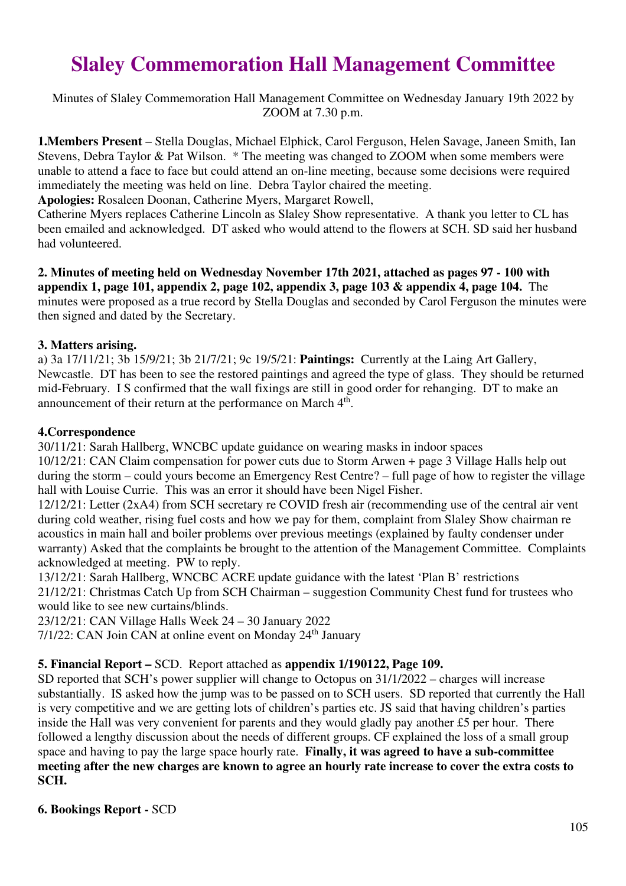# **Slaley Commemoration Hall Management Committee**

Minutes of Slaley Commemoration Hall Management Committee on Wednesday January 19th 2022 by ZOOM at 7.30 p.m.

**1.Members Present** – Stella Douglas, Michael Elphick, Carol Ferguson, Helen Savage, Janeen Smith, Ian Stevens, Debra Taylor & Pat Wilson. \* The meeting was changed to ZOOM when some members were unable to attend a face to face but could attend an on-line meeting, because some decisions were required immediately the meeting was held on line. Debra Taylor chaired the meeting.

**Apologies:** Rosaleen Doonan, Catherine Myers, Margaret Rowell,

Catherine Myers replaces Catherine Lincoln as Slaley Show representative. A thank you letter to CL has been emailed and acknowledged. DT asked who would attend to the flowers at SCH. SD said her husband had volunteered.

**2. Minutes of meeting held on Wednesday November 17th 2021, attached as pages 97 - 100 with appendix 1, page 101, appendix 2, page 102, appendix 3, page 103 & appendix 4, page 104.** The minutes were proposed as a true record by Stella Douglas and seconded by Carol Ferguson the minutes were then signed and dated by the Secretary.

## **3. Matters arising.**

a) 3a 17/11/21; 3b 15/9/21; 3b 21/7/21; 9c 19/5/21: **Paintings:** Currently at the Laing Art Gallery, Newcastle. DT has been to see the restored paintings and agreed the type of glass. They should be returned mid-February. I S confirmed that the wall fixings are still in good order for rehanging. DT to make an announcement of their return at the performance on March  $4<sup>th</sup>$ .

## **4.Correspondence**

30/11/21: Sarah Hallberg, WNCBC update guidance on wearing masks in indoor spaces 10/12/21: CAN Claim compensation for power cuts due to Storm Arwen + page 3 Village Halls help out during the storm – could yours become an Emergency Rest Centre? – full page of how to register the village hall with Louise Currie. This was an error it should have been Nigel Fisher.

12/12/21: Letter (2xA4) from SCH secretary re COVID fresh air (recommending use of the central air vent during cold weather, rising fuel costs and how we pay for them, complaint from Slaley Show chairman re acoustics in main hall and boiler problems over previous meetings (explained by faulty condenser under warranty) Asked that the complaints be brought to the attention of the Management Committee. Complaints acknowledged at meeting. PW to reply.

13/12/21: Sarah Hallberg, WNCBC ACRE update guidance with the latest 'Plan B' restrictions 21/12/21: Christmas Catch Up from SCH Chairman – suggestion Community Chest fund for trustees who would like to see new curtains/blinds.

23/12/21: CAN Village Halls Week 24 – 30 January 2022

7/1/22: CAN Join CAN at online event on Monday 24<sup>th</sup> January

## **5. Financial Report –** SCD. Report attached as **appendix 1/190122, Page 109.**

SD reported that SCH's power supplier will change to Octopus on 31/1/2022 – charges will increase substantially. IS asked how the jump was to be passed on to SCH users. SD reported that currently the Hall is very competitive and we are getting lots of children's parties etc. JS said that having children's parties inside the Hall was very convenient for parents and they would gladly pay another £5 per hour. There followed a lengthy discussion about the needs of different groups. CF explained the loss of a small group space and having to pay the large space hourly rate. **Finally, it was agreed to have a sub-committee meeting after the new charges are known to agree an hourly rate increase to cover the extra costs to SCH.**

## **6. Bookings Report -** SCD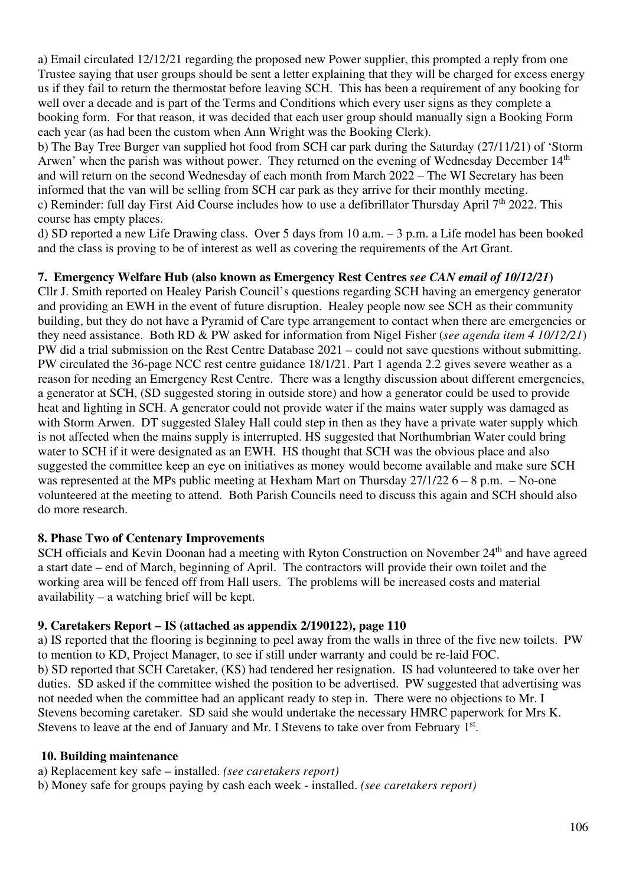a) Email circulated 12/12/21 regarding the proposed new Power supplier, this prompted a reply from one Trustee saying that user groups should be sent a letter explaining that they will be charged for excess energy us if they fail to return the thermostat before leaving SCH. This has been a requirement of any booking for well over a decade and is part of the Terms and Conditions which every user signs as they complete a booking form. For that reason, it was decided that each user group should manually sign a Booking Form each year (as had been the custom when Ann Wright was the Booking Clerk).

b) The Bay Tree Burger van supplied hot food from SCH car park during the Saturday (27/11/21) of 'Storm Arwen' when the parish was without power. They returned on the evening of Wednesday December 14<sup>th</sup> and will return on the second Wednesday of each month from March 2022 – The WI Secretary has been informed that the van will be selling from SCH car park as they arrive for their monthly meeting. c) Reminder: full day First Aid Course includes how to use a defibrillator Thursday April 7<sup>th</sup> 2022. This course has empty places.

d) SD reported a new Life Drawing class. Over 5 days from 10 a.m. – 3 p.m. a Life model has been booked and the class is proving to be of interest as well as covering the requirements of the Art Grant.

## **7. Emergency Welfare Hub (also known as Emergency Rest Centres** *see CAN email of 10/12/21***)**

Cllr J. Smith reported on Healey Parish Council's questions regarding SCH having an emergency generator and providing an EWH in the event of future disruption. Healey people now see SCH as their community building, but they do not have a Pyramid of Care type arrangement to contact when there are emergencies or they need assistance. Both RD & PW asked for information from Nigel Fisher (*see agenda item 4 10/12/21*) PW did a trial submission on the Rest Centre Database 2021 – could not save questions without submitting. PW circulated the 36-page NCC rest centre guidance 18/1/21. Part 1 agenda 2.2 gives severe weather as a reason for needing an Emergency Rest Centre. There was a lengthy discussion about different emergencies, a generator at SCH, (SD suggested storing in outside store) and how a generator could be used to provide heat and lighting in SCH. A generator could not provide water if the mains water supply was damaged as with Storm Arwen. DT suggested Slaley Hall could step in then as they have a private water supply which is not affected when the mains supply is interrupted. HS suggested that Northumbrian Water could bring water to SCH if it were designated as an EWH. HS thought that SCH was the obvious place and also suggested the committee keep an eye on initiatives as money would become available and make sure SCH was represented at the MPs public meeting at Hexham Mart on Thursday  $27/1/22$  6 – 8 p.m. – No-one volunteered at the meeting to attend. Both Parish Councils need to discuss this again and SCH should also do more research.

## **8. Phase Two of Centenary Improvements**

SCH officials and Kevin Doonan had a meeting with Ryton Construction on November 24<sup>th</sup> and have agreed a start date – end of March, beginning of April. The contractors will provide their own toilet and the working area will be fenced off from Hall users. The problems will be increased costs and material availability – a watching brief will be kept.

## **9. Caretakers Report – IS (attached as appendix 2/190122), page 110**

a) IS reported that the flooring is beginning to peel away from the walls in three of the five new toilets. PW to mention to KD, Project Manager, to see if still under warranty and could be re-laid FOC. b) SD reported that SCH Caretaker, (KS) had tendered her resignation. IS had volunteered to take over her duties. SD asked if the committee wished the position to be advertised. PW suggested that advertising was not needed when the committee had an applicant ready to step in. There were no objections to Mr. I Stevens becoming caretaker. SD said she would undertake the necessary HMRC paperwork for Mrs K. Stevens to leave at the end of January and Mr. I Stevens to take over from February 1<sup>st</sup>.

## **10. Building maintenance**

a) Replacement key safe – installed. *(see caretakers report)* 

b) Money safe for groups paying by cash each week - installed. *(see caretakers report)*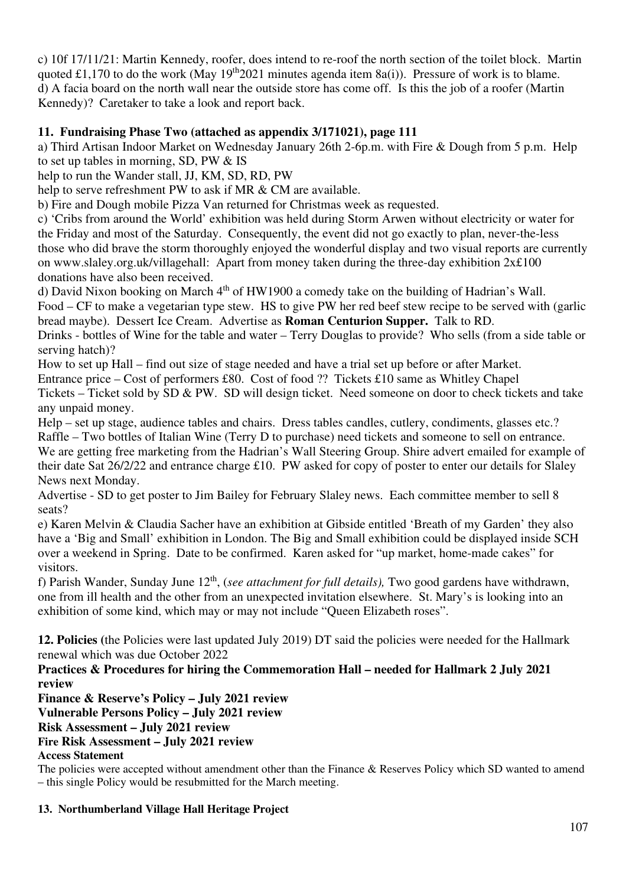c) 10f 17/11/21: Martin Kennedy, roofer, does intend to re-roof the north section of the toilet block. Martin quoted £1,170 to do the work (May  $19<sup>th</sup>2021$  minutes agenda item 8a(i)). Pressure of work is to blame. d) A facia board on the north wall near the outside store has come off. Is this the job of a roofer (Martin Kennedy)? Caretaker to take a look and report back.

## **11. Fundraising Phase Two (attached as appendix 3/171021), page 111**

a) Third Artisan Indoor Market on Wednesday January 26th 2-6p.m. with Fire & Dough from 5 p.m. Help to set up tables in morning, SD, PW & IS

help to run the Wander stall, JJ, KM, SD, RD, PW

help to serve refreshment PW to ask if MR & CM are available.

b) Fire and Dough mobile Pizza Van returned for Christmas week as requested.

c) 'Cribs from around the World' exhibition was held during Storm Arwen without electricity or water for the Friday and most of the Saturday. Consequently, the event did not go exactly to plan, never-the-less those who did brave the storm thoroughly enjoyed the wonderful display and two visual reports are currently on www.slaley.org.uk/villagehall: Apart from money taken during the three-day exhibition 2x£100 donations have also been received.

d) David Nixon booking on March  $4<sup>th</sup>$  of HW1900 a comedy take on the building of Hadrian's Wall. Food – CF to make a vegetarian type stew. HS to give PW her red beef stew recipe to be served with (garlic bread maybe). Dessert Ice Cream. Advertise as **Roman Centurion Supper.** Talk to RD.

Drinks - bottles of Wine for the table and water – Terry Douglas to provide? Who sells (from a side table or serving hatch)?

How to set up Hall – find out size of stage needed and have a trial set up before or after Market.

Entrance price – Cost of performers £80. Cost of food ?? Tickets £10 same as Whitley Chapel

Tickets – Ticket sold by SD & PW. SD will design ticket. Need someone on door to check tickets and take any unpaid money.

Help – set up stage, audience tables and chairs. Dress tables candles, cutlery, condiments, glasses etc.? Raffle – Two bottles of Italian Wine (Terry D to purchase) need tickets and someone to sell on entrance. We are getting free marketing from the Hadrian's Wall Steering Group. Shire advert emailed for example of their date Sat 26/2/22 and entrance charge £10. PW asked for copy of poster to enter our details for Slaley News next Monday.

Advertise - SD to get poster to Jim Bailey for February Slaley news. Each committee member to sell 8 seats?

e) Karen Melvin & Claudia Sacher have an exhibition at Gibside entitled 'Breath of my Garden' they also have a 'Big and Small' exhibition in London. The Big and Small exhibition could be displayed inside SCH over a weekend in Spring. Date to be confirmed. Karen asked for "up market, home-made cakes" for visitors.

f) Parish Wander, Sunday June 12th, (*see attachment for full details),* Two good gardens have withdrawn, one from ill health and the other from an unexpected invitation elsewhere. St. Mary's is looking into an exhibition of some kind, which may or may not include "Queen Elizabeth roses".

**12. Policies (**the Policies were last updated July 2019) DT said the policies were needed for the Hallmark renewal which was due October 2022

**Practices & Procedures for hiring the Commemoration Hall – needed for Hallmark 2 July 2021 review** 

**Finance & Reserve's Policy – July 2021 review**

**Vulnerable Persons Policy – July 2021 review**

**Risk Assessment – July 2021 review**

## **Fire Risk Assessment – July 2021 review**

# **Access Statement**

The policies were accepted without amendment other than the Finance & Reserves Policy which SD wanted to amend – this single Policy would be resubmitted for the March meeting.

## **13. Northumberland Village Hall Heritage Project**